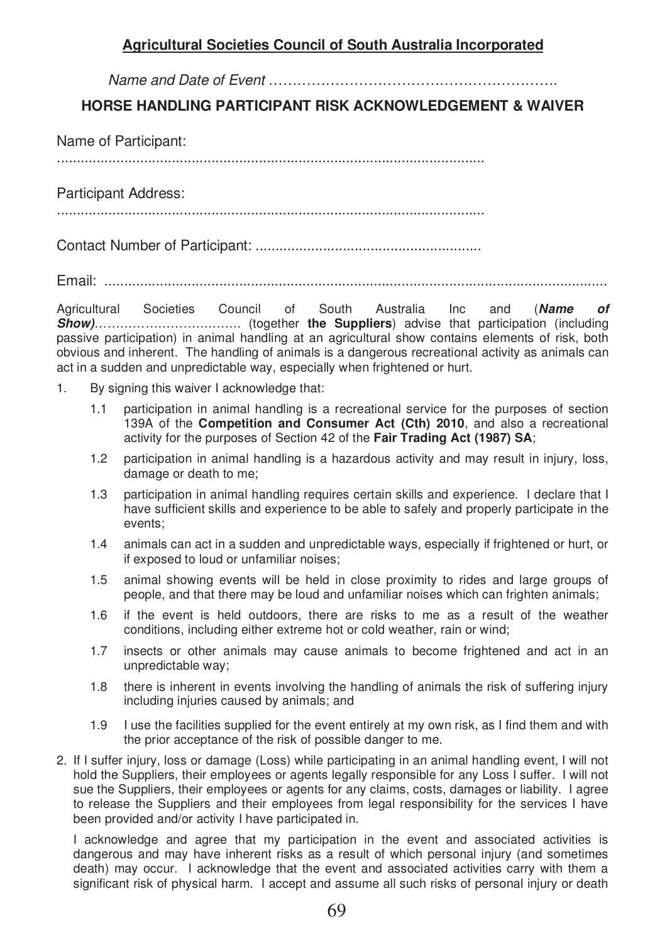## **Agricultural Societies Council of South Australia Incorporated**

Name and Date of Event …………………………………………………….

## **HORSE HANDLING PARTICIPANT RISK ACKNOWLEDGEMENT & WAIVER**

Name of Participant: ............................................................................................................

Participant Address: ............................................................................................................

Contact Number of Participant: .........................................................

Email: ...............................................................................................................................

Agricultural Societies Council of South Australia Inc and (*Name of Show)*……………………….……. (together **the Suppliers**) advise that participation (including passive participation) in animal handling at an agricultural show contains elements of risk, both obvious and inherent. The handling of animals is a dangerous recreational activity as animals can act in a sudden and unpredictable way, especially when frightened or hurt.

- 1. By signing this waiver I acknowledge that:
	- 1.1 participation in animal handling is a recreational service for the purposes of section 139A of the **Competition and Consumer Act (Cth) 2010**, and also a recreational activity for the purposes of Section 42 of the **Fair Trading Act (1987) SA**;
	- 1.2 participation in animal handling is a hazardous activity and may result in injury, loss, damage or death to me;
	- 1.3 participation in animal handling requires certain skills and experience. I declare that I have sufficient skills and experience to be able to safely and properly participate in the events;
	- 1.4 animals can act in a sudden and unpredictable ways, especially if frightened or hurt, or if exposed to loud or unfamiliar noises;
	- 1.5 animal showing events will be held in close proximity to rides and large groups of people, and that there may be loud and unfamiliar noises which can frighten animals;
	- 1.6 if the event is held outdoors, there are risks to me as a result of the weather conditions, including either extreme hot or cold weather, rain or wind;
	- 1.7 insects or other animals may cause animals to become frightened and act in an unpredictable way;
	- 1.8 there is inherent in events involving the handling of animals the risk of suffering injury including injuries caused by animals; and
	- 1.9 I use the facilities supplied for the event entirely at my own risk, as I find them and with the prior acceptance of the risk of possible danger to me.
- 2. If I suffer injury, loss or damage (Loss) while participating in an animal handling event, I will not hold the Suppliers, their employees or agents legally responsible for any Loss I suffer. I will not sue the Suppliers, their employees or agents for any claims, costs, damages or liability. I agree to release the Suppliers and their employees from legal responsibility for the services I have been provided and/or activity I have participated in.

I acknowledge and agree that my participation in the event and associated activities is dangerous and may have inherent risks as a result of which personal injury (and sometimes death) may occur. I acknowledge that the event and associated activities carry with them a significant risk of physical harm. I accept and assume all such risks of personal injury or death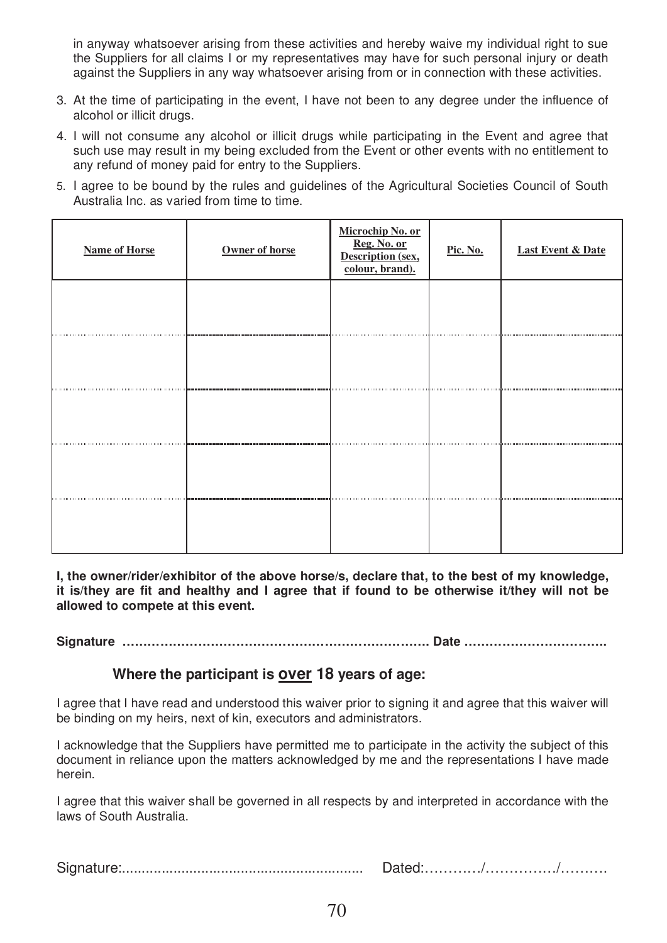in anyway whatsoever arising from these activities and hereby waive my individual right to sue the Suppliers for all claims I or my representatives may have for such personal injury or death against the Suppliers in any way whatsoever arising from or in connection with these activities.

- 3. At the time of participating in the event, I have not been to any degree under the influence of alcohol or illicit drugs.
- 4. I will not consume any alcohol or illicit drugs while participating in the Event and agree that such use may result in my being excluded from the Event or other events with no entitlement to any refund of money paid for entry to the Suppliers.
- 5. I agree to be bound by the rules and guidelines of the Agricultural Societies Council of South Australia Inc. as varied from time to time.

| <b>Name of Horse</b> | Owner of horse          | <u>Microchip No. or<br/>Reg. No. or<br/>Description (sex,<br/>colour, brand).</u> | Pic. No. | <b>Last Event &amp; Date</b> |
|----------------------|-------------------------|-----------------------------------------------------------------------------------|----------|------------------------------|
|                      |                         |                                                                                   |          |                              |
| <b>1111111111</b>    |                         |                                                                                   |          |                              |
|                      | ,,,,,,,,,,,,,,,,,,,,,,, |                                                                                   |          |                              |
| .                    |                         |                                                                                   |          |                              |
| .                    | ,,,,,,,,,,,,,,,,,,,,,,  |                                                                                   |          |                              |

**I, the owner/rider/exhibitor of the above horse/s, declare that, to the best of my knowledge, it is/they are fit and healthy and I agree that if found to be otherwise it/they will not be allowed to compete at this event.** 

**Signature ………………………………………………………………. Date …………………………….** 

## **Where the participant is over 18 years of age:**

I agree that I have read and understood this waiver prior to signing it and agree that this waiver will be binding on my heirs, next of kin, executors and administrators.

I acknowledge that the Suppliers have permitted me to participate in the activity the subject of this document in reliance upon the matters acknowledged by me and the representations I have made herein.

I agree that this waiver shall be governed in all respects by and interpreted in accordance with the laws of South Australia.